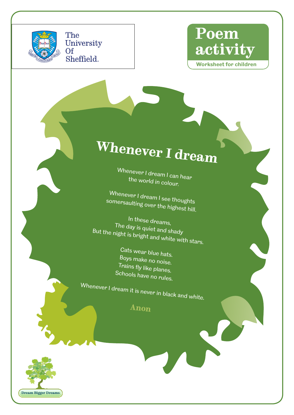

The University Of Sheffield.



**Worksheet for children**

## **Whenever I dream**

Whenever I dream I can hear the world in colour.

Whenever I dream I see thoughts somersaulting over the highest hill.

In these dreams, The day is quiet and shady But the night is bright and white with stars.

Cats wear blue hats. Boys make no noise. Trains fly like planes. Schools have no rules.

Whenever I dream it is never in black and white.

**Anon**